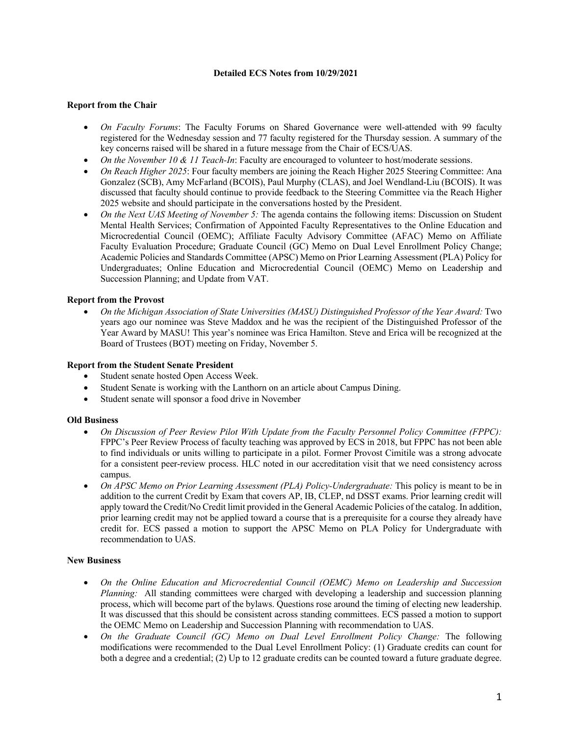## **Detailed ECS Notes from 10/29/2021**

# **Report from the Chair**

- *On Faculty Forums*: The Faculty Forums on Shared Governance were well-attended with 99 faculty registered for the Wednesday session and 77 faculty registered for the Thursday session. A summary of the key concerns raised will be shared in a future message from the Chair of ECS/UAS.
- *On the November 10 & 11 Teach-In*: Faculty are encouraged to volunteer to host/moderate sessions.
- *On Reach Higher 2025*: Four faculty members are joining the Reach Higher 2025 Steering Committee: Ana Gonzalez (SCB), Amy McFarland (BCOIS), Paul Murphy (CLAS), and Joel Wendland-Liu (BCOIS). It was discussed that faculty should continue to provide feedback to the Steering Committee via the Reach Higher 2025 website and should participate in the conversations hosted by the President.
- *On the Next UAS Meeting of November 5:* The agenda contains the following items: Discussion on Student Mental Health Services; Confirmation of Appointed Faculty Representatives to the Online Education and Microcredential Council (OEMC); Affiliate Faculty Advisory Committee (AFAC) Memo on Affiliate Faculty Evaluation Procedure; Graduate Council (GC) Memo on Dual Level Enrollment Policy Change; Academic Policies and Standards Committee (APSC) Memo on Prior Learning Assessment (PLA) Policy for Undergraduates; Online Education and Microcredential Council (OEMC) Memo on Leadership and Succession Planning; and Update from VAT.

## **Report from the Provost**

• *On the Michigan Association of State Universities (MASU) Distinguished Professor of the Year Award:* Two years ago our nominee was Steve Maddox and he was the recipient of the Distinguished Professor of the Year Award by MASU! This year's nominee was Erica Hamilton. Steve and Erica will be recognized at the Board of Trustees (BOT) meeting on Friday, November 5.

### **Report from the Student Senate President**

- Student senate hosted Open Access Week.
- Student Senate is working with the Lanthorn on an article about Campus Dining.
- Student senate will sponsor a food drive in November

### **Old Business**

- *On Discussion of Peer Review Pilot With Update from the Faculty Personnel Policy Committee (FPPC):*  FPPC's Peer Review Process of faculty teaching was approved by ECS in 2018, but FPPC has not been able to find individuals or units willing to participate in a pilot. Former Provost Cimitile was a strong advocate for a consistent peer-review process. HLC noted in our accreditation visit that we need consistency across campus.
- *On APSC Memo on Prior Learning Assessment (PLA) Policy-Undergraduate:* This policy is meant to be in addition to the current Credit by Exam that covers AP, IB, CLEP, nd DSST exams. Prior learning credit will apply toward the Credit/No Credit limit provided in the General Academic Policies of the catalog. In addition, prior learning credit may not be applied toward a course that is a prerequisite for a course they already have credit for. ECS passed a motion to support the APSC Memo on PLA Policy for Undergraduate with recommendation to UAS.

### **New Business**

- *On the Online Education and Microcredential Council (OEMC) Memo on Leadership and Succession Planning:* All standing committees were charged with developing a leadership and succession planning process, which will become part of the bylaws. Questions rose around the timing of electing new leadership. It was discussed that this should be consistent across standing committees. ECS passed a motion to support the OEMC Memo on Leadership and Succession Planning with recommendation to UAS.
- *On the Graduate Council (GC) Memo on Dual Level Enrollment Policy Change:* The following modifications were recommended to the Dual Level Enrollment Policy: (1) Graduate credits can count for both a degree and a credential; (2) Up to 12 graduate credits can be counted toward a future graduate degree.